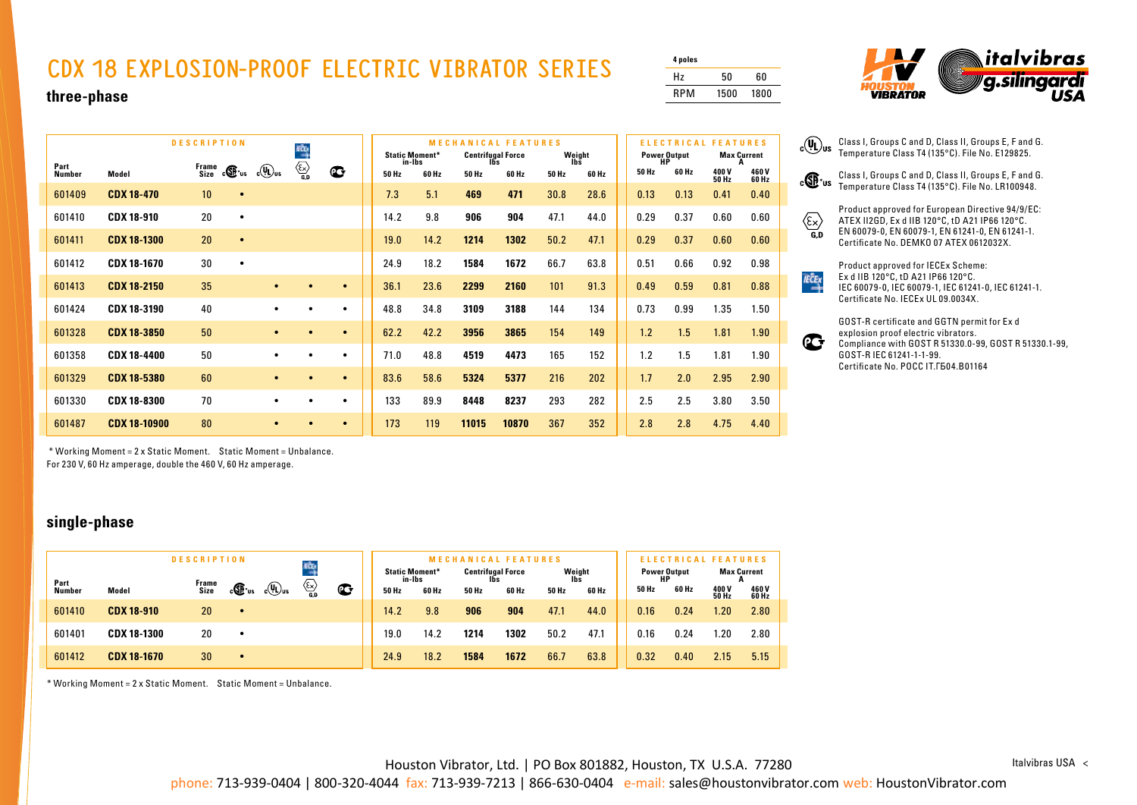## **CDX 18 EXPLOSION-PROOF ELECTRIC VIBRATOR SERIES**

| 4 poles    |      |      |
|------------|------|------|
| Hz         | 50   | 60   |
| <b>RPM</b> | 1500 | 1800 |

 $_{c}$ (V<sub>L</sub>)<sub>us</sub>

 $\langle \epsilon \rangle$ ິດກ

 $\overrightarrow{IECEx}$ 

 $\mathbb{C}^+$ 



Class I, Groups C and D, Class II, Groups E, F and G. Temperature Class T4 (135°C). File No. E129825. Class I, Groups C and D, Class II, Groups E, F and G. Temperature Class T4 (135°C). File No. LR100948. Product approved for European Directive 94/9/EC: ATEX II2GD, Ex d IIB 120°C, tD A21 IP66 120°C. EN 60079-0, EN 60079-1, EN 61241-0, EN 61241-1. Certificate No. DEMKO 07 ATEX 0612032X. Product approved for IECEx Scheme: Ex d IIB 120°C, tD A21 IP66 120°C.

IEC 60079-0, IEC 60079-1, IEC 61241-0, IEC 61241-1.

Compliance with GOST R 51330.0-99, GOST R 51330.1-99,

GOST-R certificate and GGTN permit for Ex d explosion proof electric vibrators.

Certificate No. IECEx UL 09.0034X.

GOST-R IEC 61241-1-1-99. Certificate No. POCC IT.ГБ04.B01164

**three-phase**

| <b>DESCRIPTION</b>    |                     |               |                                             | xà                                                                            |             |       | <b>Static Moment*</b> | <b>MECHANICAL FEATURES</b> | <b>Centrifugal Force</b> |       | Weight       | <b>Power Output</b> | <b>ELECTRICAL</b> | <b>FEATURES</b>      | <b>Max Current</b> |
|-----------------------|---------------------|---------------|---------------------------------------------|-------------------------------------------------------------------------------|-------------|-------|-----------------------|----------------------------|--------------------------|-------|--------------|---------------------|-------------------|----------------------|--------------------|
| Part<br><b>Number</b> | Model               | Frame<br>Size | $\circ$ $\times$<br>$c(U_{\rm L})_{\rm us}$ | $\begin{matrix} & & \\ & \begin{matrix} & \end{matrix} \\ & G.D \end{matrix}$ | $\mathbf C$ | 50 Hz | in-Ibs<br>60 Hz       | 50 Hz                      | lbs<br>60 Hz             | 50 Hz | lbs<br>60 Hz | HP<br>50 Hz         | 60 Hz             | 400V<br><b>50 Hz</b> | A<br>460V<br>60 Hz |
| 601409                | <b>CDX 18-470</b>   | 10            | $\bullet$                                   |                                                                               |             | 7.3   | 5.1                   | 469                        | 471                      | 30.8  | 28.6         | 0.13                | 0.13              | 0.41                 | 0.40               |
| 601410                | <b>CDX 18-910</b>   | 20            | $\bullet$                                   |                                                                               |             | 14.2  | 9.8                   | 906                        | 904                      | 47.1  | 44.0         | 0.29                | 0.37              | 0.60                 | 0.60               |
| 601411                | <b>CDX 18-1300</b>  | 20            | $\bullet$                                   |                                                                               |             | 19.0  | 14.2                  | 1214                       | 1302                     | 50.2  | 47.1         | 0.29                | 0.37              | 0.60                 | 0.60               |
| 601412                | <b>CDX 18-1670</b>  | 30            | $\bullet$                                   |                                                                               |             | 24.9  | 18.2                  | 1584                       | 1672                     | 66.7  | 63.8         | 0.51                | 0.66              | 0.92                 | 0.98               |
| 601413                | <b>CDX 18-2150</b>  | 35            | $\bullet$                                   | $\bullet$                                                                     | $\bullet$   | 36.1  | 23.6                  | 2299                       | 2160                     | 101   | 91.3         | 0.49                | 0.59              | 0.81                 | 0.88               |
| 601424                | CDX 18-3190         | 40            | $\bullet$                                   | $\bullet$                                                                     | $\bullet$   | 48.8  | 34.8                  | 3109                       | 3188                     | 144   | 134          | 0.73                | 0.99              | 1.35                 | 1.50               |
| 601328                | <b>CDX 18-3850</b>  | 50            | $\bullet$                                   | $\bullet$                                                                     | $\bullet$   | 62.2  | 42.2                  | 3956                       | 3865                     | 154   | 149          | 1.2                 | 1.5               | 1.81                 | 1.90               |
| 601358                | <b>CDX 18-4400</b>  | 50            | $\bullet$                                   | $\bullet$                                                                     | $\bullet$   | 71.0  | 48.8                  | 4519                       | 4473                     | 165   | 152          | 1.2                 | 1.5               | 1.81                 | 1.90               |
| 601329                | <b>CDX 18-5380</b>  | 60            | $\bullet$                                   | $\bullet$                                                                     | $\bullet$   | 83.6  | 58.6                  | 5324                       | 5377                     | 216   | 202          | 1.7                 | 2.0               | 2.95                 | 2.90               |
| 601330                | <b>CDX 18-8300</b>  | 70            | ٠                                           | $\bullet$                                                                     | ٠           | 133   | 89.9                  | 8448                       | 8237                     | 293   | 282          | 2.5                 | 2.5               | 3.80                 | 3.50               |
| 601487                | <b>CDX 18-10900</b> | 80            | $\bullet$                                   |                                                                               | $\bullet$   | 173   | 119                   | 11015                      | 10870                    | 367   | 352          | 2.8                 | 2.8               | 4.75                 | 4.40               |

 \* Working Moment = 2 x Static Moment. Static Moment = Unbalance. For 230 V, 60 Hz amperage, double the 460 V, 60 Hz amperage.

**single-phase**

| <b>DESCRIPTION</b><br>KÔĘ |                    |       |                  |                             |                                        |   |                                 | <b>MECHANICAL FEATURES</b> |                          |       |               | FIFCTRI |       |       | <b>ATURES</b>             |                |  |                    |
|---------------------------|--------------------|-------|------------------|-----------------------------|----------------------------------------|---|---------------------------------|----------------------------|--------------------------|-------|---------------|---------|-------|-------|---------------------------|----------------|--|--------------------|
| Part                      |                    | Frame |                  |                             |                                        |   | <b>Static Moment*</b><br>in-lbs |                            | <b>Centrifugal Force</b> |       | Weight<br>Ibs |         |       |       | <b>Power Output</b><br>HР |                |  | <b>Max Current</b> |
| <b>Number</b>             | Model              | Size  | $c\mathbf{G}$ is | $_{\rm c}$ (U <sub>Us</sub> | $\overline{\mathcal{E}_{\mathbf{X}}}\$ | œ | 50 Hz                           | 60 Hz                      | 50 Hz                    | 60 Hz | 50 Hz         | 60 Hz   | 50 Hz | 60 Hz | 400 V<br><b>50 Hz</b>     | 460 V<br>60 Hz |  |                    |
| 601410                    | <b>CDX 18-910</b>  | 20    | $\bullet$        |                             |                                        |   | 14.2                            | 9.8                        | 906                      | 904   | 47.1          | 44.0    | 0.16  | 0.24  | 1.20                      | 2.80           |  |                    |
| 601401                    | <b>CDX 18-1300</b> | 20    |                  |                             |                                        |   | 19.0                            | 14.2                       | 1214                     | 1302  | 50.2          | 47.1    | 0.16  | 0.24  | 1.20                      | 2.80           |  |                    |
| 601412                    | <b>CDX 18-1670</b> | 30    | $\bullet$        |                             |                                        |   | 24.9                            | 18.2                       | 1584                     | 1672  | 66.7          | 63.8    | 0.32  | 0.40  | 2.15                      | 5.15           |  |                    |

\* Working Moment = 2 x Static Moment. Static Moment = Unbalance.

Houston Vibrator, Ltd. | PO Box 801882, Houston, TX U.S.A. 77280

Italvibras USA <

phone: 713-939-0404 | 800-320-4044 fax: 713-939-7213 | 866-630-0404 e-mail: sales@houstonvibrator.com web: HoustonVibrator.com